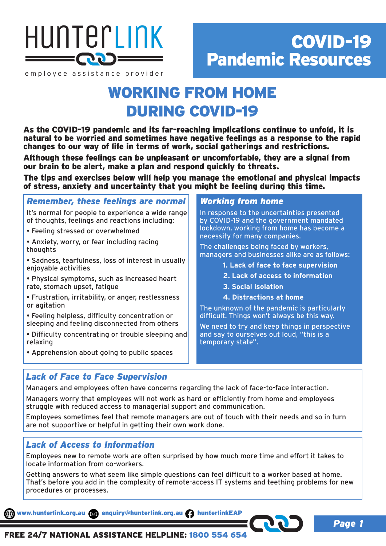

# COVID-19 Pandemic Resources

employee assistance provider

## WORKING FROM HOME DURING COVID-19

As the COVID-19 pandemic and its far-reaching implications continue to unfold, it is natural to be worried and sometimes have negative feelings as a response to the rapid changes to our way of life in terms of work, social gatherings and restrictions.

Although these feelings can be unpleasant or uncomfortable, they are a signal from our brain to be alert, make a plan and respond quickly to threats.

The tips and exercises below will help you manage the emotional and physical impacts of stress, anxiety and uncertainty that you might be feeling during this time.

*Remember, these feelings are normal*

It's normal for people to experience a wide range of thoughts, feelings and reactions including:

- Feeling stressed or overwhelmed
- Anxiety, worry, or fear including racing thoughts
- Sadness, tearfulness, loss of interest in usually enjoyable activities
- Physical symptoms, such as increased heart rate, stomach upset, fatigue
- Frustration, irritability, or anger, restlessness or agitation
- Feeling helpless, difficulty concentration or sleeping and feeling disconnected from others
- Difficulty concentrating or trouble sleeping and relaxing
- Apprehension about going to public spaces

## *Working from home*

In response to the uncertainties presented by COVID-19 and the government mandated lockdown, working from home has become a necessity for many companies.

The challenges being faced by workers, managers and businesses alike are as follows:

- **1. Lack of face to face supervision**
- **2. Lack of access to information**
- **3. Social isolation**
- **4. Distractions at home**

The unknown of the pandemic is particularly difficult. Things won't always be this way.

We need to try and keep things in perspective and say to ourselves out loud, "this is a temporary state".

## *Lack of Face to Face Supervision*

Managers and employees often have concerns regarding the lack of face-to-face interaction.

Managers worry that employees will not work as hard or efficiently from home and employees struggle with reduced access to managerial support and communication.

Employees sometimes feel that remote managers are out of touch with their needs and so in turn are not supportive or helpful in getting their own work done.

## *Lack of Access to Information*

Employees new to remote work are often surprised by how much more time and effort it takes to locate information from co-workers.

Getting answers to what seem like simple questions can feel difficult to a worker based at home. That's before you add in the complexity of remote-access IT systems and teething problems for new procedures or processes.

www.hunterlink.org.au enquiry@hunterlink.org.au hunterlinkEAP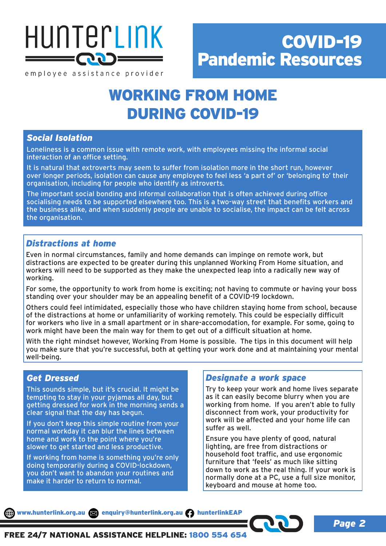

## WORKING FROM HOME DURING COVID-19

### *Social Isolation*

Loneliness is a common issue with remote work, with employees missing the informal social interaction of an office setting.

It is natural that extroverts may seem to suffer from isolation more in the short run, however over longer periods, isolation can cause any employee to feel less 'a part of' or 'belonging to' their organisation, including for people who identify as introverts.

The important social bonding and informal collaboration that is often achieved during office socialising needs to be supported elsewhere too. This is a two-way street that benefits workers and the business alike, and when suddenly people are unable to socialise, the impact can be felt across the organisation.

## *Distractions at home*

Even in normal circumstances, family and home demands can impinge on remote work, but distractions are expected to be greater during this unplanned Working From Home situation, and workers will need to be supported as they make the unexpected leap into a radically new way of working.

For some, the opportunity to work from home is exciting; not having to commute or having your boss standing over your shoulder may be an appealing benefit of a COVID-19 lockdown.

Others could feel intimidated, especially those who have children staying home from school, because of the distractions at home or unfamiliarity of working remotely. This could be especially difficult for workers who live in a small apartment or in share-accomodation, for example. For some, going to work might have been the main way for them to get out of a difficult situation at home.

With the right mindset however, Working From Home is possible. The tips in this document will help you make sure that you're successful, both at getting your work done and at maintaining your mental well-being.

### *Get Dressed*

This sounds simple, but it's crucial. It might be tempting to stay in your pyjamas all day, but getting dressed for work in the morning sends a clear signal that the day has begun.

If you don't keep this simple routine from your normal workday it can blur the lines between home and work to the point where you're slower to get started and less productive.

If working from home is something you're only doing temporarily during a COVID-lockdown, you don't want to abandon your routines and make it harder to return to normal.

### *Designate a work space*

Try to keep your work and home lives separate as it can easily become blurry when you are working from home. If you aren't able to fully disconnect from work, your productivity for work will be affected and your home life can suffer as well.

Ensure you have plenty of good, natural lighting, are free from distractions or household foot traffic, and use ergonomic furniture that 'feels' as much like sitting down to work as the real thing. If your work is normally done at a PC, use a full size monitor, keyboard and mouse at home too.

*Page 2*

www.hunterlink.org.au a enquiry@hunterlink.org.au hunterlinkEAP

FREE 24/7 NATIONAL ASSISTANCE HELPLINE: 1800 554 654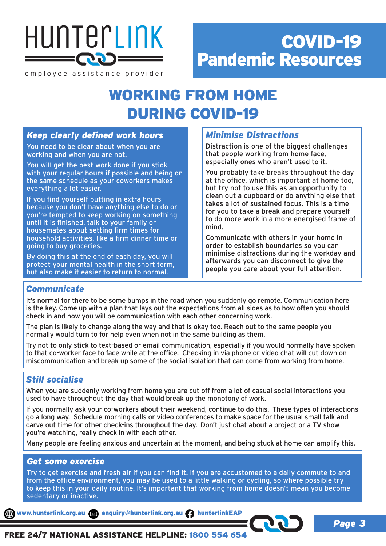

# COVID-19 Pandemic Resources

employee assistance provider

## WORKING FROM HOME DURING COVID-19

### *Keep clearly defined work hours*

You need to be clear about when you are working and when you are not.

You will get the best work done if you stick with your regular hours if possible and being on the same schedule as your coworkers makes everything a lot easier.

If you find yourself putting in extra hours because you don't have anything else to do or you're tempted to keep working on something until it is finished, talk to your family or housemates about setting firm times for household activities, like a firm dinner time or going to buy groceries.

By doing this at the end of each day, you will protect your mental health in the short term, but also make it easier to return to normal.

## *Minimise Distractions*

Distraction is one of the biggest challenges that people working from home face, especially ones who aren't used to it.

You probably take breaks throughout the day at the office, which is important at home too, but try not to use this as an opportunity to clean out a cupboard or do anything else that takes a lot of sustained focus. This is a time for you to take a break and prepare yourself to do more work in a more energised frame of mind.

Communicate with others in your home in order to establish boundaries so you can minimise distractions during the workday and afterwards you can disconnect to give the people you care about your full attention.

## *Communicate*

It's normal for there to be some bumps in the road when you suddenly go remote. Communication here is the key. Come up with a plan that lays out the expectations from all sides as to how often you should check in and how you will be communication with each other concerning work.

The plan is likely to change along the way and that is okay too. Reach out to the same people you normally would turn to for help even when not in the same building as them.

Try not to only stick to text-based or email communication, especially if you would normally have spoken to that co-worker face to face while at the office. Checking in via phone or video chat will cut down on miscommunication and break up some of the social isolation that can come from working from home.

## *Still socialise*

When you are suddenly working from home you are cut off from a lot of casual social interactions you used to have throughout the day that would break up the monotony of work.

If you normally ask your co-workers about their weekend, continue to do this. These types of interactions go a long way. Schedule morning calls or video conferences to make space for the usual small talk and carve out time for other check-ins throughout the day. Don't just chat about a project or a TV show you're watching, really check in with each other.

Many people are feeling anxious and uncertain at the moment, and being stuck at home can amplify this.

### *Get some exercise*

Try to get exercise and fresh air if you can find it. If you are accustomed to a daily commute to and from the office environment, you may be used to a little walking or cycling, so where possible try to keep this in your daily routine. It's important that working from home doesn't mean you become sedentary or inactive.

www.hunterlink.org.au and enquiry@hunterlink.org.au numterlinkEAP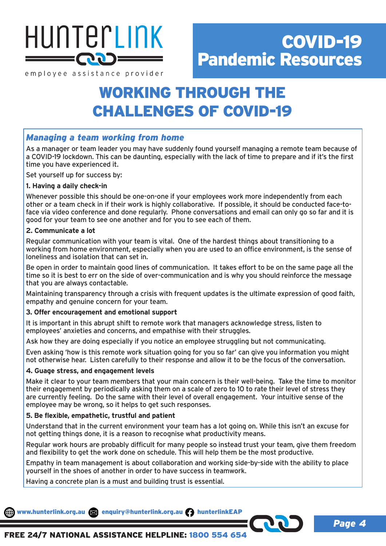

## WORKING THROUGH THE CHALLENGES OF COVID-19

## *Managing a team working from home*

As a manager or team leader you may have suddenly found yourself managing a remote team because of a COVID-19 lockdown. This can be daunting, especially with the lack of time to prepare and if it's the first time you have experienced it.

Set yourself up for success by:

#### **1. Having a daily check-in**

Whenever possible this should be one-on-one if your employees work more independently from each other or a team check in if their work is highly collaborative. If possible, it should be conducted face-toface via video conference and done regularly. Phone conversations and email can only go so far and it is good for your team to see one another and for you to see each of them.

#### **2. Communicate a lot**

Regular communication with your team is vital. One of the hardest things about transitioning to a working from home environment, especially when you are used to an office environment, is the sense of loneliness and isolation that can set in.

Be open in order to maintain good lines of communication. It takes effort to be on the same page all the time so it is best to err on the side of over-communication and is why you should reinforce the message that you are always contactable.

Maintaining transparency through a crisis with frequent updates is the ultimate expression of good faith, empathy and genuine concern for your team.

#### **3. Offer encouragement and emotional support**

It is important in this abrupt shift to remote work that managers acknowledge stress, listen to employees' anxieties and concerns, and empathise with their struggles.

Ask how they are doing especially if you notice an employee struggling but not communicating.

Even asking 'how is this remote work situation going for you so far' can give you information you might not otherwise hear. Listen carefully to their response and allow it to be the focus of the conversation.

#### **4. Guage stress, and engagement levels**

Make it clear to your team members that your main concern is their well-being. Take the time to monitor their engagement by periodically asking them on a scale of zero to 10 to rate their level of stress they are currently feeling. Do the same with their level of overall engagement. Your intuitive sense of the employee may be wrong, so it helps to get such responses.

#### **5. Be flexible, empathetic, trustful and patient**

Understand that in the current environment your team has a lot going on. While this isn't an excuse for not getting things done, it is a reason to recognise what productivity means.

Regular work hours are probably difficult for many people so instead trust your team, give them freedom and flexibility to get the work done on schedule. This will help them be the most productive.

Empathy in team management is about collaboration and working side-by-side with the ability to place yourself in the shoes of another in order to have success in teamwork.

Having a concrete plan is a must and building trust is essential.

www.hunterlink.org.au and enquiry@hunterlink.org.au numterlinkEAP

FREE 24/7 NATIONAL ASSISTANCE HELPLINE: 1800 554 654

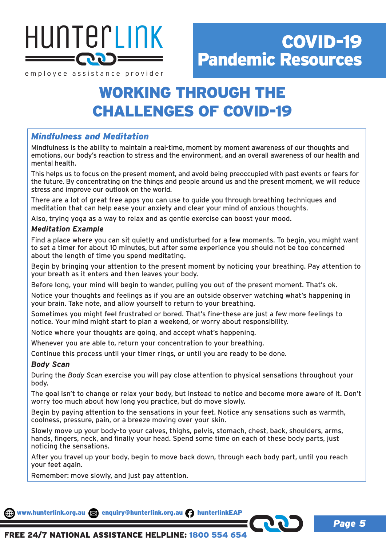

## WORKING THROUGH THE CHALLENGES OF COVID-19

## *Mindfulness and Meditation*

Mindfulness is the ability to maintain a real-time, moment by moment awareness of our thoughts and emotions, our body's reaction to stress and the environment, and an overall awareness of our health and mental health.

This helps us to focus on the present moment, and avoid being preoccupied with past events or fears for the future. By concentrating on the things and people around us and the present moment, we will reduce stress and improve our outlook on the world.

There are a lot of great free apps you can use to guide you through breathing techniques and meditation that can help ease your anxiety and clear your mind of anxious thoughts.

Also, trying yoga as a way to relax and as gentle exercise can boost your mood.

#### *Meditation Example*

Find a place where you can sit quietly and undisturbed for a few moments. To begin, you might want to set a timer for about 10 minutes, but after some experience you should not be too concerned about the length of time you spend meditating.

Begin by bringing your attention to the present moment by noticing your breathing. Pay attention to your breath as it enters and then leaves your body.

Before long, your mind will begin to wander, pulling you out of the present moment. That's ok.

Notice your thoughts and feelings as if you are an outside observer watching what's happening in your brain. Take note, and allow yourself to return to your breathing.

Sometimes you might feel frustrated or bored. That's fine-these are just a few more feelings to notice. Your mind might start to plan a weekend, or worry about responsibility.

Notice where your thoughts are going, and accept what's happening.

Whenever you are able to, return your concentration to your breathing.

Continue this process until your timer rings, or until you are ready to be done.

#### *Body Scan*

During the *Body Scan* exercise you will pay close attention to physical sensations throughout your body.

The goal isn't to change or relax your body, but instead to notice and become more aware of it. Don't worry too much about how long you practice, but do move slowly.

Begin by paying attention to the sensations in your feet. Notice any sensations such as warmth, coolness, pressure, pain, or a breeze moving over your skin.

Slowly move up your body-to your calves, thighs, pelvis, stomach, chest, back, shoulders, arms, hands, fingers, neck, and finally your head. Spend some time on each of these body parts, just noticing the sensations.

After you travel up your body, begin to move back down, through each body part, until you reach your feet again.

Remember: move slowly, and just pay attention.

www.hunterlink.org.au  $\boxtimes$  enquiry@hunterlink.org.au numerlinkEAP